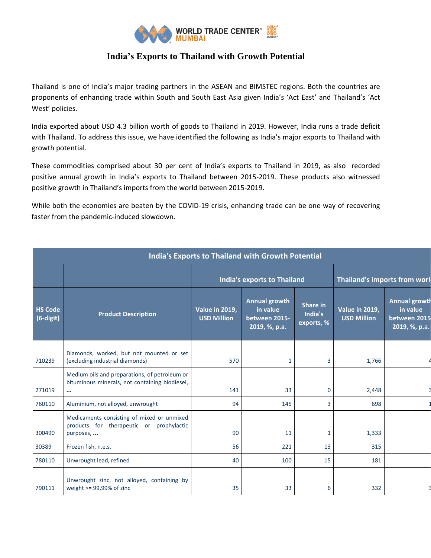

## **India's Exports to Thailand with Growth Potential**

Thailand is one of India's major trading partners in the ASEAN and BIMSTEC regions. Both the countries are proponents of enhancing trade within South and South East Asia given India's 'Act East' and Thailand's 'Act West' policies.

India exported about USD 4.3 billion worth of goods to Thailand in 2019. However, India runs a trade deficit with Thailand. To address this issue, we have identified the following as India's major exports to Thailand with growth potential.

These commodities comprised about 30 per cent of India's exports to Thailand in 2019, as also recorded positive annual growth in India's exports to Thailand between 2015-2019. These products also witnessed positive growth in Thailand's imports from the world between 2015-2019.

While both the economies are beaten by the COVID-19 crisis, enhancing trade can be one way of recovering faster from the pandemic-induced slowdown.

| <b>India's Exports to Thailand with Growth Potential</b> |                                                                                                             |                                      |                                                                    |                                          |                                             |                                                                   |  |  |  |
|----------------------------------------------------------|-------------------------------------------------------------------------------------------------------------|--------------------------------------|--------------------------------------------------------------------|------------------------------------------|---------------------------------------------|-------------------------------------------------------------------|--|--|--|
|                                                          |                                                                                                             |                                      | <b>India's exports to Thailand</b>                                 | Thailand's imports from worl             |                                             |                                                                   |  |  |  |
| <b>HS Code</b><br>(6-digit)                              | <b>Product Description</b>                                                                                  | Value in 2019,<br><b>USD Million</b> | <b>Annual growth</b><br>in value<br>between 2015-<br>2019, %, p.a. | <b>Share in</b><br>India's<br>exports, % | <b>Value in 2019,</b><br><b>USD Million</b> | <b>Annual growth</b><br>in value<br>between 2015<br>2019, %, p.a. |  |  |  |
| 710239                                                   | Diamonds, worked, but not mounted or set<br>(excluding industrial diamonds)                                 | 570                                  | 1                                                                  | 3                                        | 1,766                                       |                                                                   |  |  |  |
| 271019                                                   | Medium oils and preparations, of petroleum or<br>bituminous minerals, not containing biodiesel,<br>$\cdots$ | 141                                  | 33                                                                 | 0                                        | 2,448                                       |                                                                   |  |  |  |
| 760110                                                   | Aluminium, not alloyed, unwrought                                                                           | 94                                   | 145                                                                | 3                                        | 698                                         |                                                                   |  |  |  |
| 300490                                                   | Medicaments consisting of mixed or unmixed<br>products for therapeutic or prophylactic<br>purposes,         | 90                                   | 11                                                                 | $\mathbf{1}$                             | 1,333                                       |                                                                   |  |  |  |
| 30389                                                    | Frozen fish, n.e.s.                                                                                         | 56                                   | 221                                                                | 13                                       | 315                                         |                                                                   |  |  |  |
| 780110                                                   | Unwrought lead, refined                                                                                     | 40                                   | 100                                                                | 15                                       | 181                                         |                                                                   |  |  |  |
| 790111                                                   | Unwrought zinc, not alloyed, containing by<br>weight >= 99,99% of zinc                                      | 35                                   | 33                                                                 | 6                                        | 332                                         |                                                                   |  |  |  |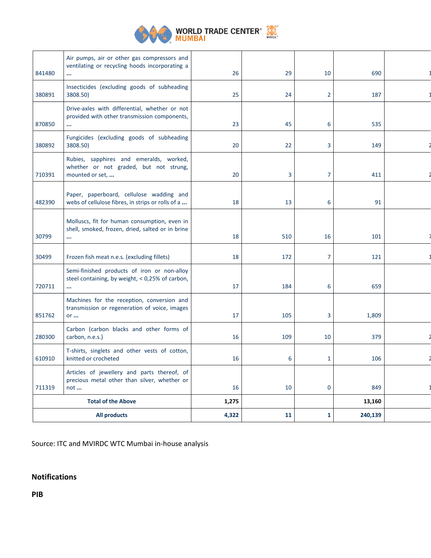

## **WORLD TRADE CENTER**<sup>®</sup> SANCE

| <b>All products</b>       |                                                                                                            | 4,322 | 11  | 1              | 240,139 |  |
|---------------------------|------------------------------------------------------------------------------------------------------------|-------|-----|----------------|---------|--|
| <b>Total of the Above</b> |                                                                                                            | 1,275 |     |                | 13,160  |  |
| 711319                    | Articles of jewellery and parts thereof, of<br>precious metal other than silver, whether or<br>not         | 16    | 10  | 0              | 849     |  |
| 610910                    | T-shirts, singlets and other vests of cotton,<br>knitted or crocheted                                      | 16    | 6   | 1              | 106     |  |
| 280300                    | Carbon (carbon blacks and other forms of<br>carbon, n.e.s.)                                                | 16    | 109 | 10             | 379     |  |
| 851762                    | Machines for the reception, conversion and<br>transmission or regeneration of voice, images<br>$or \dots$  | 17    | 105 | 3              | 1,809   |  |
| 720711                    | Semi-finished products of iron or non-alloy<br>steel containing, by weight, < 0,25% of carbon,<br>$\cdots$ | 17    | 184 | 6              | 659     |  |
| 30499                     | Frozen fish meat n.e.s. (excluding fillets)                                                                | 18    | 172 | $\overline{7}$ | 121     |  |
| 30799                     | Molluscs, fit for human consumption, even in<br>shell, smoked, frozen, dried, salted or in brine<br>       | 18    | 510 | 16             | 101     |  |
| 482390                    | Paper, paperboard, cellulose wadding and<br>webs of cellulose fibres, in strips or rolls of a              | 18    | 13  | 6              | 91      |  |
| 710391                    | Rubies, sapphires and emeralds, worked,<br>whether or not graded, but not strung,<br>mounted or set,       | 20    | 3   | 7              | 411     |  |
| 380892                    | Fungicides (excluding goods of subheading<br>3808.50)                                                      | 20    | 22  | 3              | 149     |  |
| 870850                    | Drive-axles with differential, whether or not<br>provided with other transmission components,<br>$\cdots$  | 23    | 45  | 6              | 535     |  |
| 380891                    | Insecticides (excluding goods of subheading<br>3808.50)                                                    | 25    | 24  | $\overline{2}$ | 187     |  |
| 841480                    | Air pumps, air or other gas compressors and<br>ventilating or recycling hoods incorporating a<br>$\cdots$  | 26    | 29  | 10             | 690     |  |
|                           |                                                                                                            |       |     |                |         |  |

Source: ITC and MVIRDC WTC Mumbai in-house analysis

## **Notifications**

**PIB**